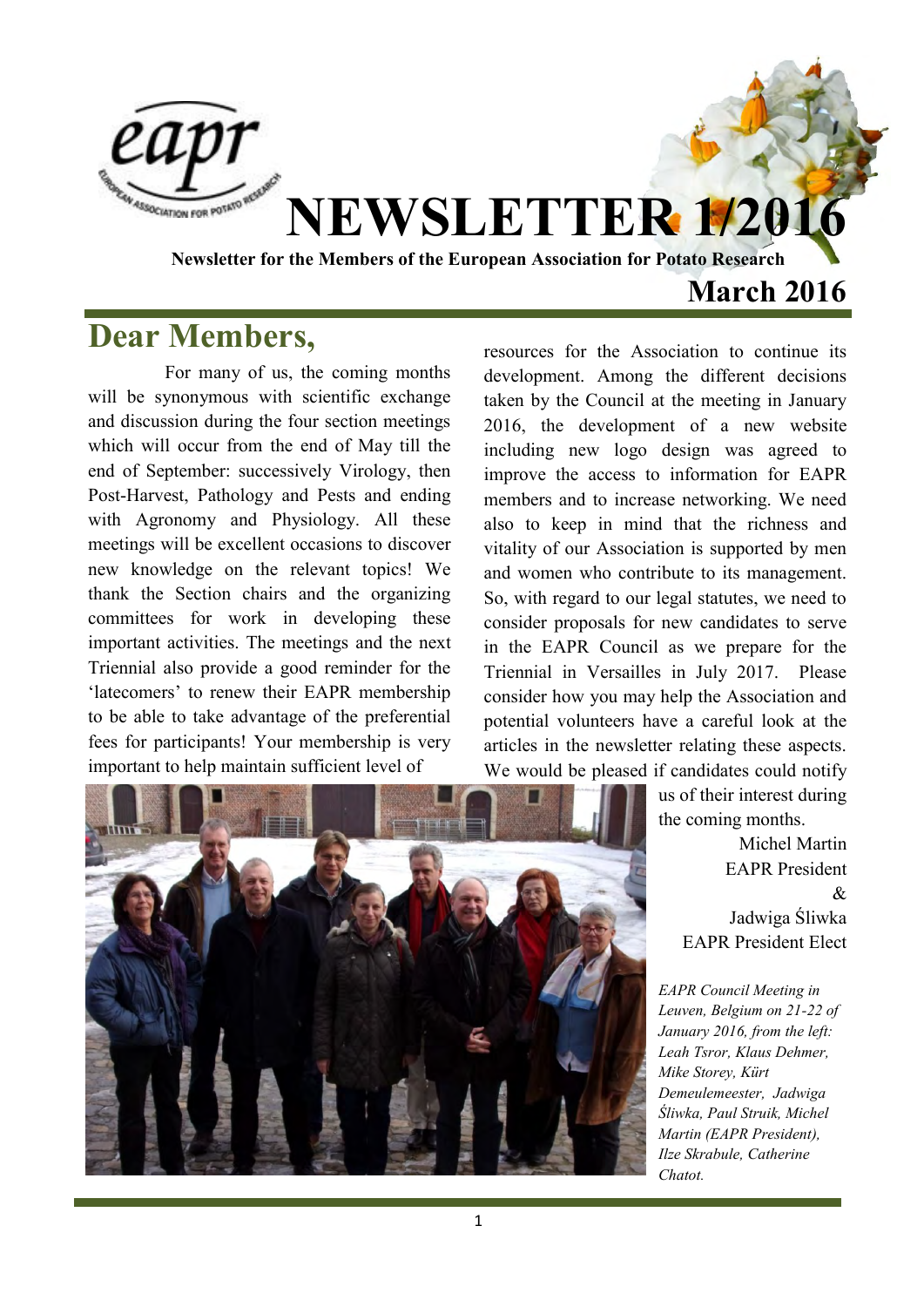

### **March 2016**

#### **Dear Members,**

For many of us, the coming months will be synonymous with scientific exchange and discussion during the four section meetings which will occur from the end of May till the end of September: successively Virology, then Post-Harvest, Pathology and Pests and ending with Agronomy and Physiology. All these meetings will be excellent occasions to discover new knowledge on the relevant topics! We thank the Section chairs and the organizing committees for work in developing these important activities. The meetings and the next Triennial also provide a good reminder for the 'latecomers' to renew their EAPR membership to be able to take advantage of the preferential fees for participants! Your membership is very important to help maintain sufficient level of

resources for the Association to continue its development. Among the different decisions taken by the Council at the meeting in January 2016, the development of a new website including new logo design was agreed to improve the access to information for EAPR members and to increase networking. We need also to keep in mind that the richness and vitality of our Association is supported by men and women who contribute to its management. So, with regard to our legal statutes, we need to consider proposals for new candidates to serve in the EAPR Council as we prepare for the Triennial in Versailles in July 2017. Please consider how you may help the Association and potential volunteers have a careful look at the articles in the newsletter relating these aspects. We would be pleased if candidates could notify

> us of their interest during the coming months.

Michel Martin EAPR President & Jadwiga Śliwka EAPR President Elect

*EAPR Council Meeting in Leuven, Belgium on 21-22 of January 2016, from the left: Leah Tsror, Klaus Dehmer, Mike Storey, Kürt Demeulemeester, Jadwiga Śliwka, Paul Struik, Michel Martin (EAPR President), Ilze Skrabule, Catherine Chatot.* 

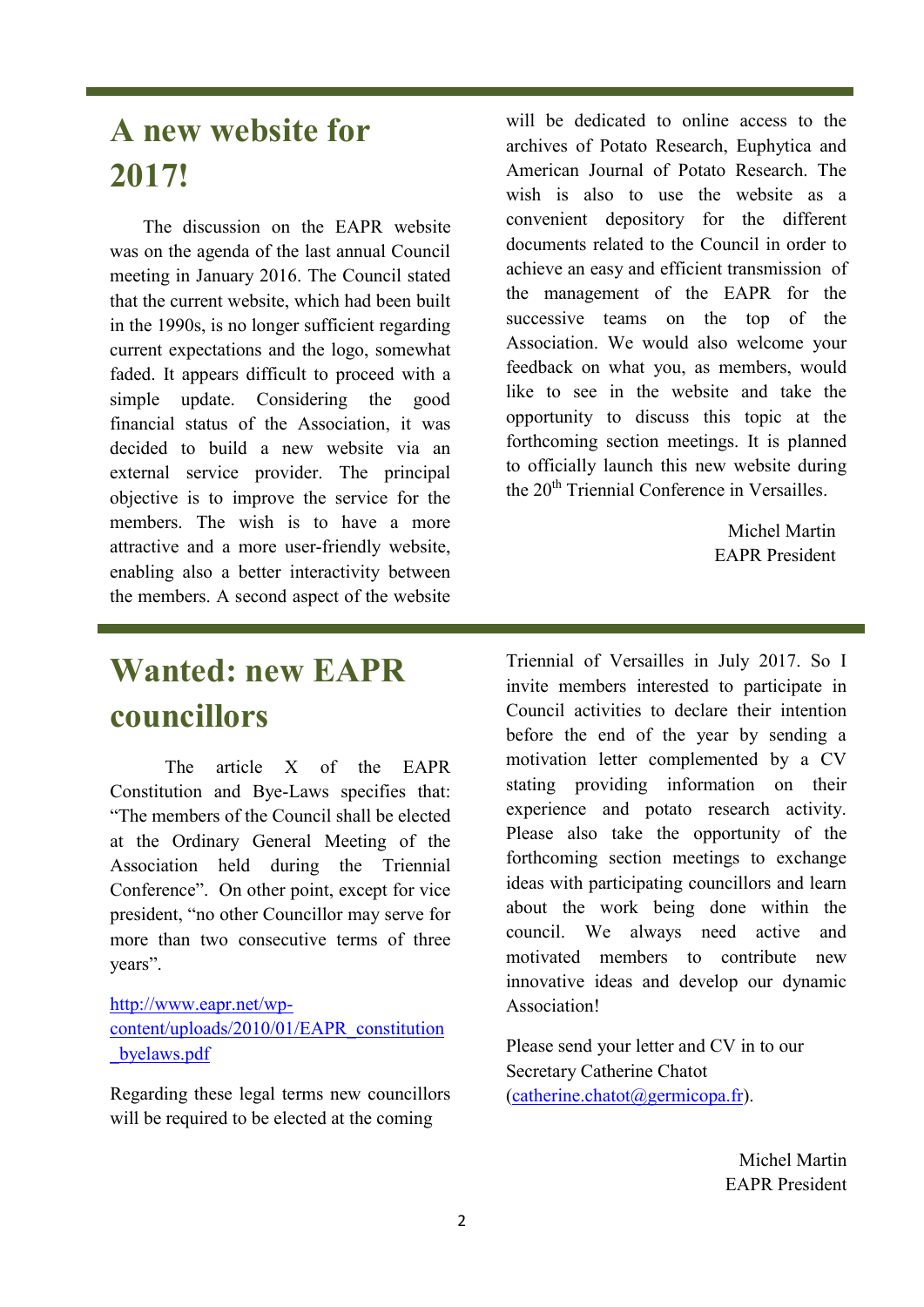## **A new website for 2017!**

 The discussion on the EAPR website was on the agenda of the last annual Council meeting in January 2016. The Council stated that the current website, which had been built in the 1990s, is no longer sufficient regarding current expectations and the logo, somewhat faded. It appears difficult to proceed with a simple update. Considering the good financial status of the Association, it was decided to build a new website via an external service provider. The principal objective is to improve the service for the members. The wish is to have a more attractive and a more user-friendly website, enabling also a better interactivity between the members. A second aspect of the website

## **Wanted: new EAPR councillors**

The article X of the EAPR Constitution and Bye-Laws specifies that: "The members of the Council shall be elected at the Ordinary General Meeting of the Association held during the Triennial Conference". On other point, except for vice president, "no other Councillor may serve for more than two consecutive terms of three years".

#### [http://www.eapr.net/wp](http://www.eapr.net/wp-content/uploads/2010/01/EAPR_constitution_byelaws.pdf)[content/uploads/2010/01/EAPR\\_constitution](http://www.eapr.net/wp-content/uploads/2010/01/EAPR_constitution_byelaws.pdf) [\\_byelaws.pdf](http://www.eapr.net/wp-content/uploads/2010/01/EAPR_constitution_byelaws.pdf)

Regarding these legal terms new councillors will be required to be elected at the coming

will be dedicated to online access to the archives of Potato Research, Euphytica and American Journal of Potato Research. The wish is also to use the website as a convenient depository for the different documents related to the Council in order to achieve an easy and efficient transmission of the management of the EAPR for the successive teams on the top of the Association. We would also welcome your feedback on what you, as members, would like to see in the website and take the opportunity to discuss this topic at the forthcoming section meetings. It is planned to officially launch this new website during the 20<sup>th</sup> Triennial Conference in Versailles.

> Michel Martin EAPR President

Triennial of Versailles in July 2017. So I invite members interested to participate in Council activities to declare their intention before the end of the year by sending a motivation letter complemented by a CV stating providing information on their experience and potato research activity. Please also take the opportunity of the forthcoming section meetings to exchange ideas with participating councillors and learn about the work being done within the council. We always need active and motivated members to contribute new innovative ideas and develop our dynamic Association!

Please send your letter and CV in to our Secretary Catherine Chatot  $(catherine.chatot@germicopa.fr)$ .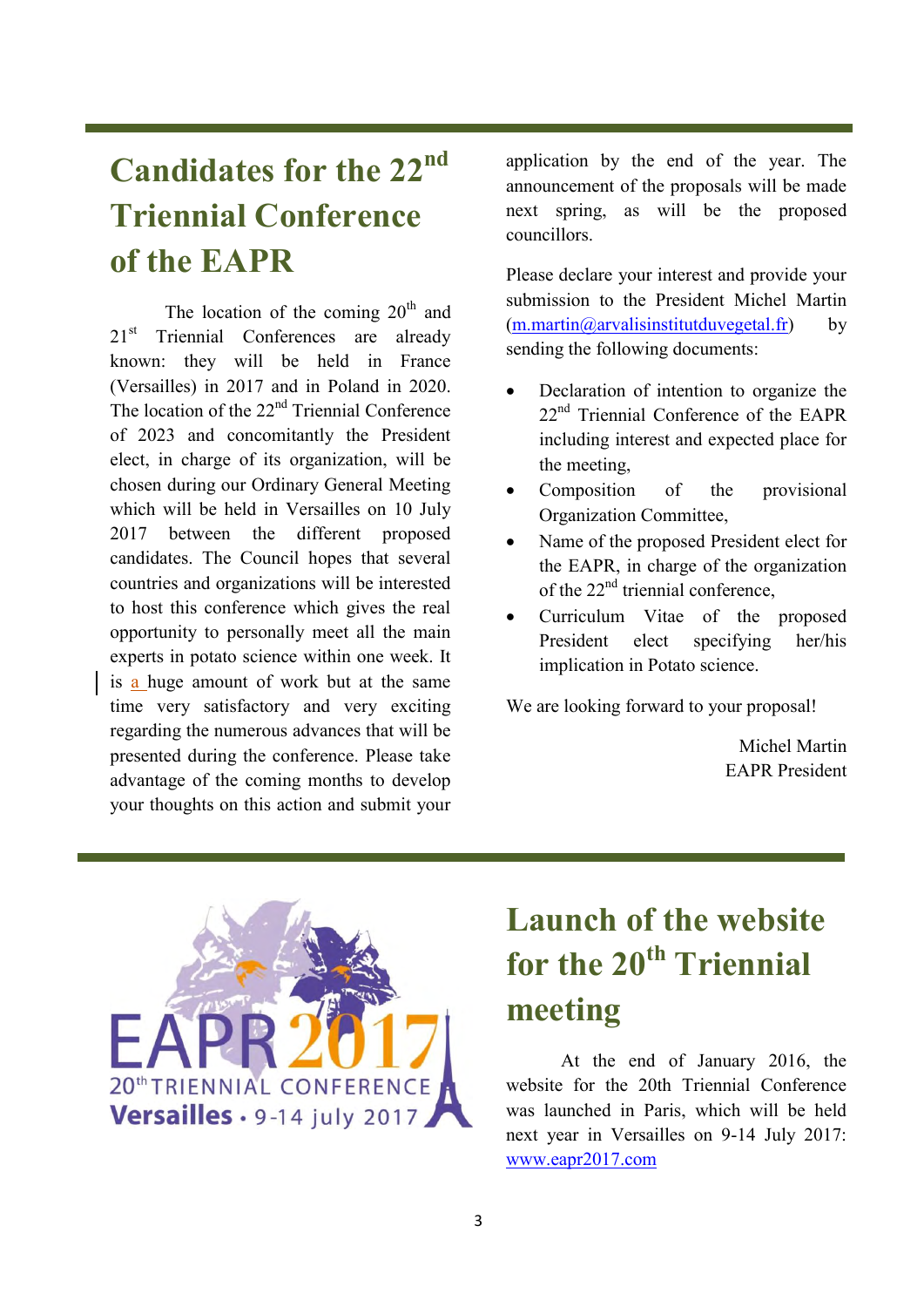## **Candidates for the 22nd Triennial Conference of the EAPR**

The location of the coming  $20<sup>th</sup>$  and 21<sup>st</sup> Triennial Conferences are already known: they will be held in France (Versailles) in 2017 and in Poland in 2020. The location of the  $22<sup>nd</sup>$  Triennial Conference of 2023 and concomitantly the President elect, in charge of its organization, will be chosen during our Ordinary General Meeting which will be held in Versailles on 10 July 2017 between the different proposed candidates. The Council hopes that several countries and organizations will be interested to host this conference which gives the real opportunity to personally meet all the main experts in potato science within one week. It is a huge amount of work but at the same time very satisfactory and very exciting regarding the numerous advances that will be presented during the conference. Please take advantage of the coming months to develop your thoughts on this action and submit your

application by the end of the year. The announcement of the proposals will be made next spring, as will be the proposed councillors.

Please declare your interest and provide your submission to the President Michel Martin  $(m.\text{martin@arvalisinstitutduvegetal.fr})$  by sending the following documents:

- Declaration of intention to organize the 22<sup>nd</sup> Triennial Conference of the EAPR including interest and expected place for the meeting,
- Composition of the provisional Organization Committee,
- Name of the proposed President elect for the EAPR, in charge of the organization of the  $22<sup>nd</sup>$  triennial conference,
- Curriculum Vitae of the proposed President elect specifying her/his implication in Potato science.

We are looking forward to your proposal!

Michel Martin EAPR President



## **Launch of the website for the 20th Triennial meeting**

At the end of January 2016, the website for the 20th Triennial Conference was launched in Paris, which will be held next year in Versailles on 9-14 July 2017: [www.eapr2017.com](http://www.eapr2017.com/)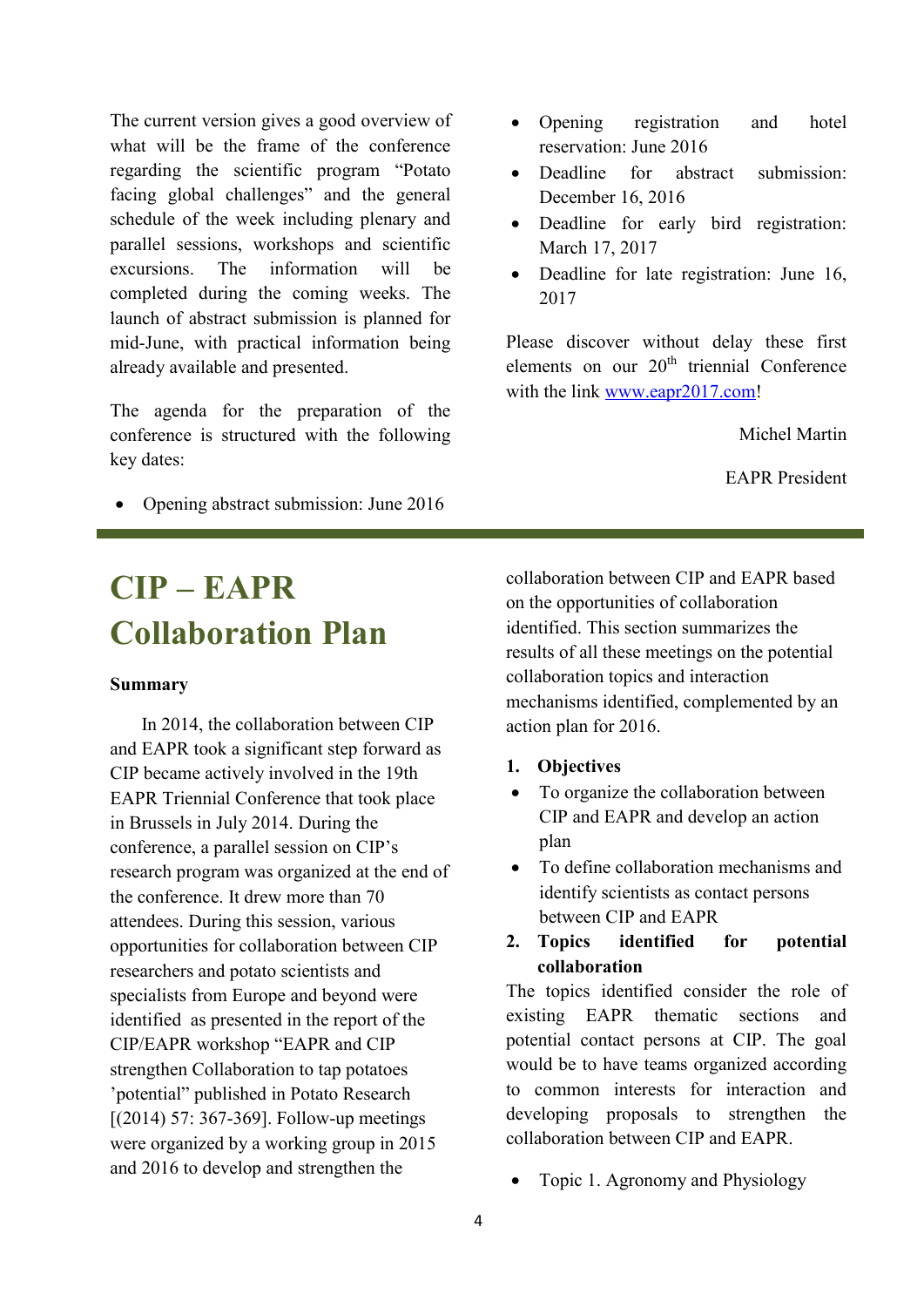The current version gives a good overview of what will be the frame of the conference regarding the scientific program "Potato facing global challenges" and the general schedule of the week including plenary and parallel sessions, workshops and scientific excursions. The information will be completed during the coming weeks. The launch of abstract submission is planned for mid-June, with practical information being already available and presented.

The agenda for the preparation of the conference is structured with the following key dates:

• Opening abstract submission: June 2016

- Opening registration and hotel reservation: June 2016
- Deadline for abstract submission: December 16, 2016
- Deadline for early bird registration: March 17, 2017
- Deadline for late registration: June 16, 2017

Please discover without delay these first elements on our  $20<sup>th</sup>$  triennial Conference with the link [www.eapr2017.com!](http://www.eapr2017.com/)

Michel Martin

EAPR President

# **CIP – EAPR Collaboration Plan**

#### **Summary**

In 2014, the collaboration between CIP and EAPR took a significant step forward as CIP became actively involved in the 19th EAPR Triennial Conference that took place in Brussels in July 2014. During the conference, a parallel session on CIP's research program was organized at the end of the conference. It drew more than 70 attendees. During this session, various opportunities for collaboration between CIP researchers and potato scientists and specialists from Europe and beyond were identified as presented in the report of the CIP/EAPR workshop "EAPR and CIP strengthen Collaboration to tap potatoes 'potential" published in Potato Research [(2014) 57: 367-369]. Follow-up meetings were organized by a working group in 2015 and 2016 to develop and strengthen the

collaboration between CIP and EAPR based on the opportunities of collaboration identified. This section summarizes the results of all these meetings on the potential collaboration topics and interaction mechanisms identified, complemented by an action plan for 2016.

- **1. Objectives**
- To organize the collaboration between CIP and EAPR and develop an action plan
- To define collaboration mechanisms and identify scientists as contact persons between CIP and EAPR
- **2. Topics identified for potential collaboration**

The topics identified consider the role of existing EAPR thematic sections and potential contact persons at CIP. The goal would be to have teams organized according to common interests for interaction and developing proposals to strengthen the collaboration between CIP and EAPR.

Topic 1. Agronomy and Physiology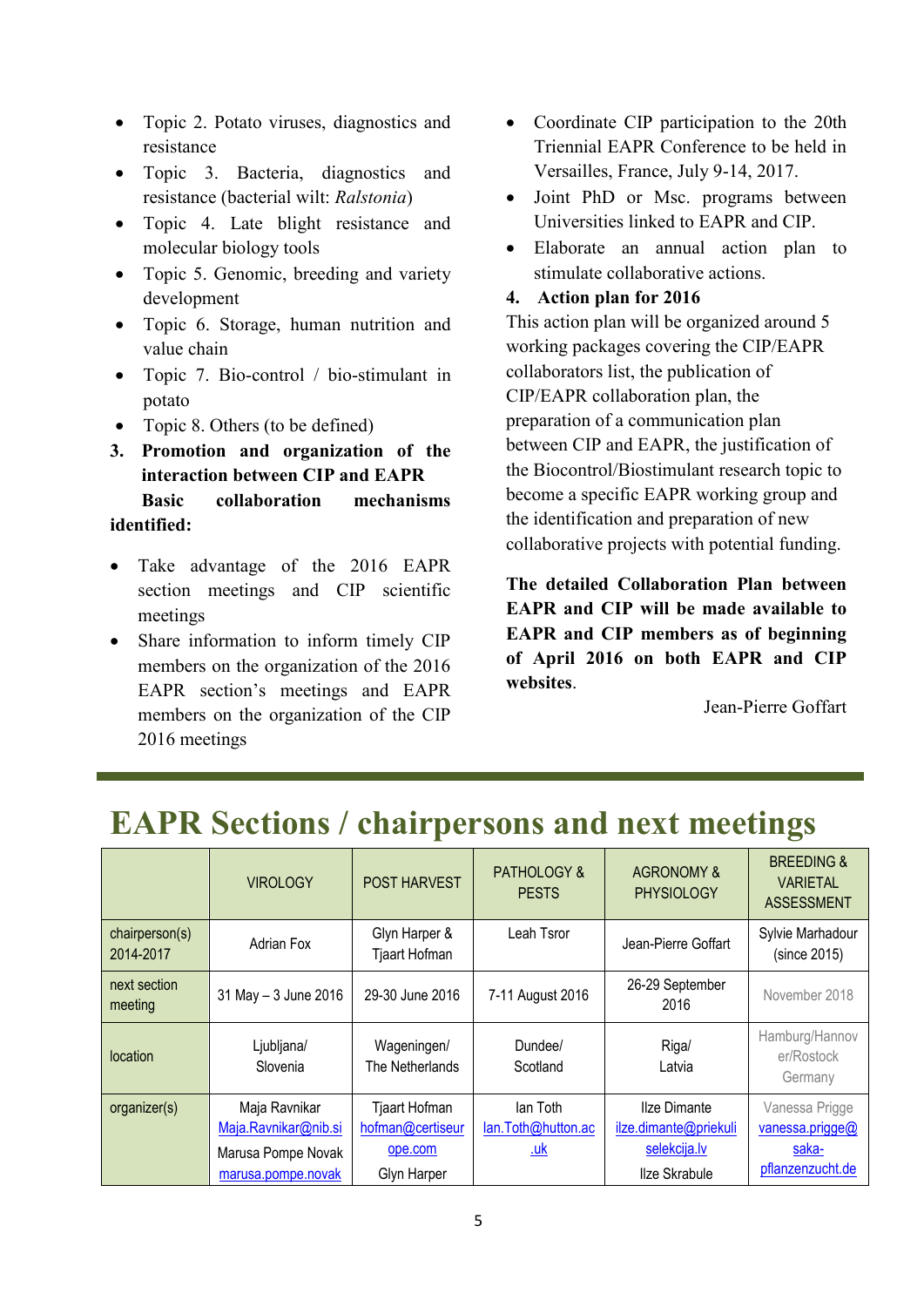- Topic 2. Potato viruses, diagnostics and resistance
- Topic 3. Bacteria, diagnostics and resistance (bacterial wilt: *Ralstonia*)
- Topic 4. Late blight resistance and molecular biology tools
- Topic 5. Genomic, breeding and variety development
- Topic 6. Storage, human nutrition and value chain
- Topic 7. Bio-control / bio-stimulant in potato
- Topic 8. Others (to be defined)
- **3. Promotion and organization of the interaction between CIP and EAPR Basic collaboration mechanisms identified:**
- Take advantage of the 2016 EAPR section meetings and CIP scientific meetings
- Share information to inform timely CIP members on the organization of the 2016 EAPR section's meetings and EAPR members on the organization of the CIP 2016 meetings
- Coordinate CIP participation to the 20th Triennial EAPR Conference to be held in Versailles, France, July 9-14, 2017.
- Joint PhD or Msc. programs between Universities linked to EAPR and CIP.
- Elaborate an annual action plan to stimulate collaborative actions.
- **4. Action plan for 2016**

This action plan will be organized around 5 working packages covering the CIP/EAPR collaborators list, the publication of CIP/EAPR collaboration plan, the preparation of a communication plan between CIP and EAPR, the justification of the Biocontrol/Biostimulant research topic to become a specific EAPR working group and the identification and preparation of new collaborative projects with potential funding.

**The detailed Collaboration Plan between EAPR and CIP will be made available to EAPR and CIP members as of beginning of April 2016 on both EAPR and CIP websites**.

Jean-Pierre Goffart

|                             |                                                                                   |                                                             |                                              |                                                                        | $\bullet$                                                             |
|-----------------------------|-----------------------------------------------------------------------------------|-------------------------------------------------------------|----------------------------------------------|------------------------------------------------------------------------|-----------------------------------------------------------------------|
|                             | <b>VIROLOGY</b>                                                                   | <b>POST HARVEST</b>                                         | <b>PATHOLOGY &amp;</b><br><b>PESTS</b>       | <b>AGRONOMY &amp;</b><br><b>PHYSIOLOGY</b>                             | <b>BREEDING &amp;</b><br><b>VARIETAL</b><br><b>ASSESSMENT</b>         |
| chairperson(s)<br>2014-2017 | Adrian Fox                                                                        | Glyn Harper &<br>Tjaart Hofman                              | Leah Tsror                                   | Jean-Pierre Goffart                                                    | Sylvie Marhadour<br>(since 2015)                                      |
| next section<br>meeting     | 31 May - 3 June 2016                                                              | 29-30 June 2016                                             | 7-11 August 2016                             | 26-29 September<br>2016                                                | November 2018                                                         |
| location                    | Ljubljana/<br>Slovenia                                                            | Wageningen/<br>The Netherlands                              | Dundee/<br>Scotland                          | Riga/<br>Latvia                                                        | Hamburg/Hannov<br>er/Rostock<br>Germany                               |
| organizer(s)                | Maja Ravnikar<br>Maja.Ravnikar@nib.si<br>Marusa Pompe Novak<br>marusa.pompe.novak | Tjaart Hofman<br>hofman@certiseur<br>ope.com<br>Glyn Harper | lan Toth<br>lan.Toth@hutton.ac<br><u>.uk</u> | Ilze Dimante<br>ilze.dimante@priekuli<br>selekcija.lv<br>Ilze Skrabule | Vanessa Prigge<br>vanessa.prigge@<br><u>saka-</u><br>pflanzenzucht.de |

### **EAPR Sections / chairpersons and next meetings**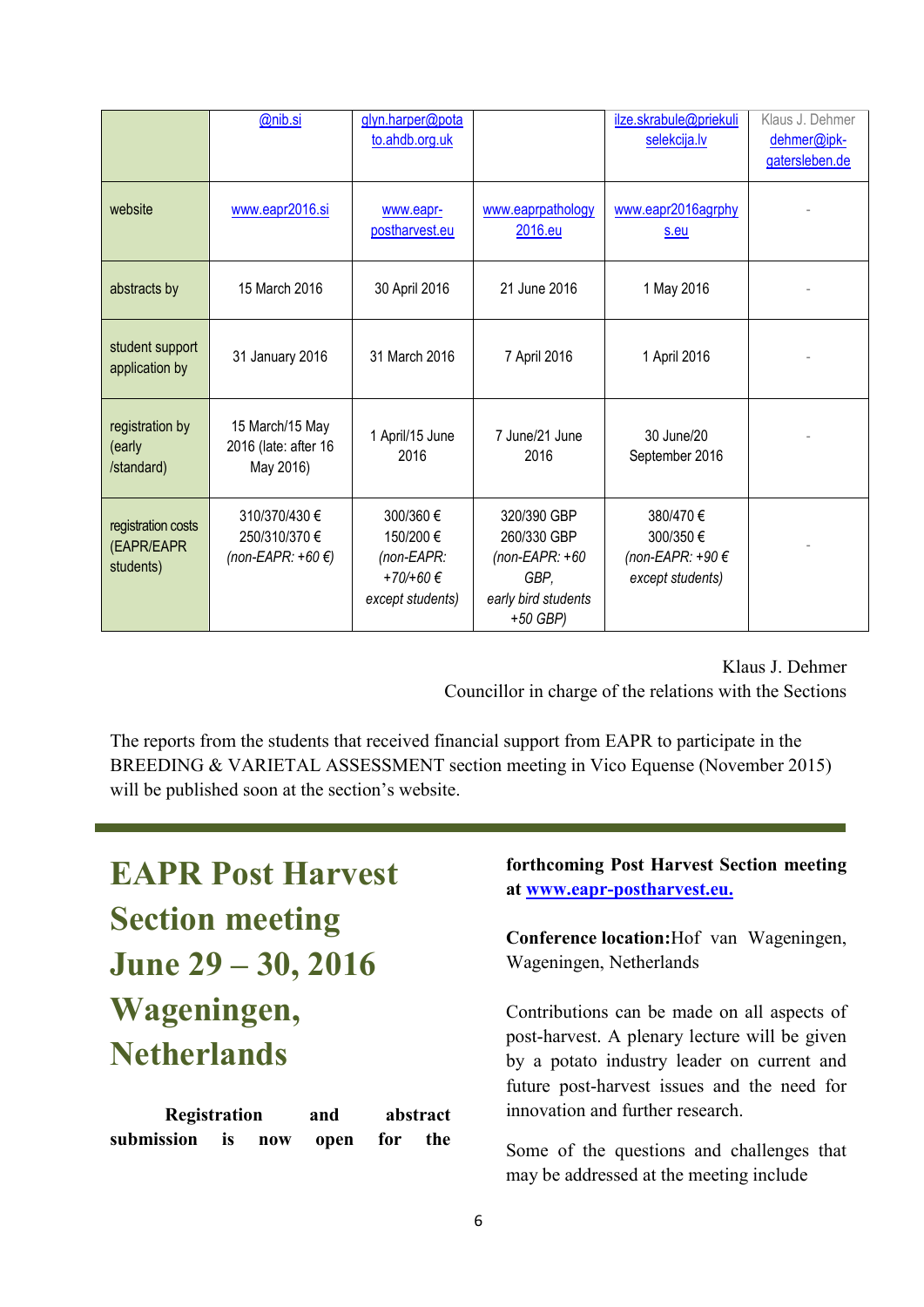|                                               | @nib.si                                                  | glyn.harper@pota<br>to.ahdb.org.uk                                   |                                                                                            | ilze.skrabule@priekuli<br>selekcija.lv                       | Klaus J. Dehmer<br>dehmer@ipk-<br>gatersleben.de |
|-----------------------------------------------|----------------------------------------------------------|----------------------------------------------------------------------|--------------------------------------------------------------------------------------------|--------------------------------------------------------------|--------------------------------------------------|
| website                                       | www.eapr2016.si                                          | www.eapr-<br>postharvest.eu                                          | www.eaprpathology<br>2016.eu                                                               | www.eapr2016agrphy<br>s.eu                                   |                                                  |
| abstracts by                                  | 15 March 2016                                            | 30 April 2016                                                        | 21 June 2016                                                                               | 1 May 2016                                                   |                                                  |
| student support<br>application by             | 31 January 2016                                          | 31 March 2016                                                        | 7 April 2016                                                                               | 1 April 2016                                                 |                                                  |
| registration by<br>(early<br>/standard)       | 15 March/15 May<br>2016 (late: after 16<br>May 2016)     | 1 April/15 June<br>2016                                              | 7 June/21 June<br>2016                                                                     | 30 June/20<br>September 2016                                 |                                                  |
| registration costs<br>(EAPR/EAPR<br>students) | 310/370/430 €<br>250/310/370 €<br>(non-EAPR: $+60 \in$ ) | 300/360 €<br>150/200€<br>(non-EAPR:<br>+70/+60 €<br>except students) | 320/390 GBP<br>260/330 GBP<br>$non-EAPR: +60$<br>GBP,<br>early bird students<br>$+50$ GBP) | 380/470€<br>300/350€<br>(non-EAPR: +90 €<br>except students) |                                                  |

Klaus J. Dehmer Councillor in charge of the relations with the Sections

The reports from the students that received financial support from EAPR to participate in the BREEDING & VARIETAL ASSESSMENT section meeting in Vico Equense (November 2015) will be published soon at the section's website.

# **EAPR Post Harvest Section meeting June 29 – 30, 2016 Wageningen, Netherlands**

**Registration and abstract submission is now open for the**  **forthcoming Post Harvest Section meeting at [www.eapr-postharvest.eu.](http://www.eapr-postharvest.eu/)**

**Conference location:**Hof van Wageningen, Wageningen, Netherlands

Contributions can be made on all aspects of post-harvest. A plenary lecture will be given by a potato industry leader on current and future post-harvest issues and the need for innovation and further research.

Some of the questions and challenges that may be addressed at the meeting include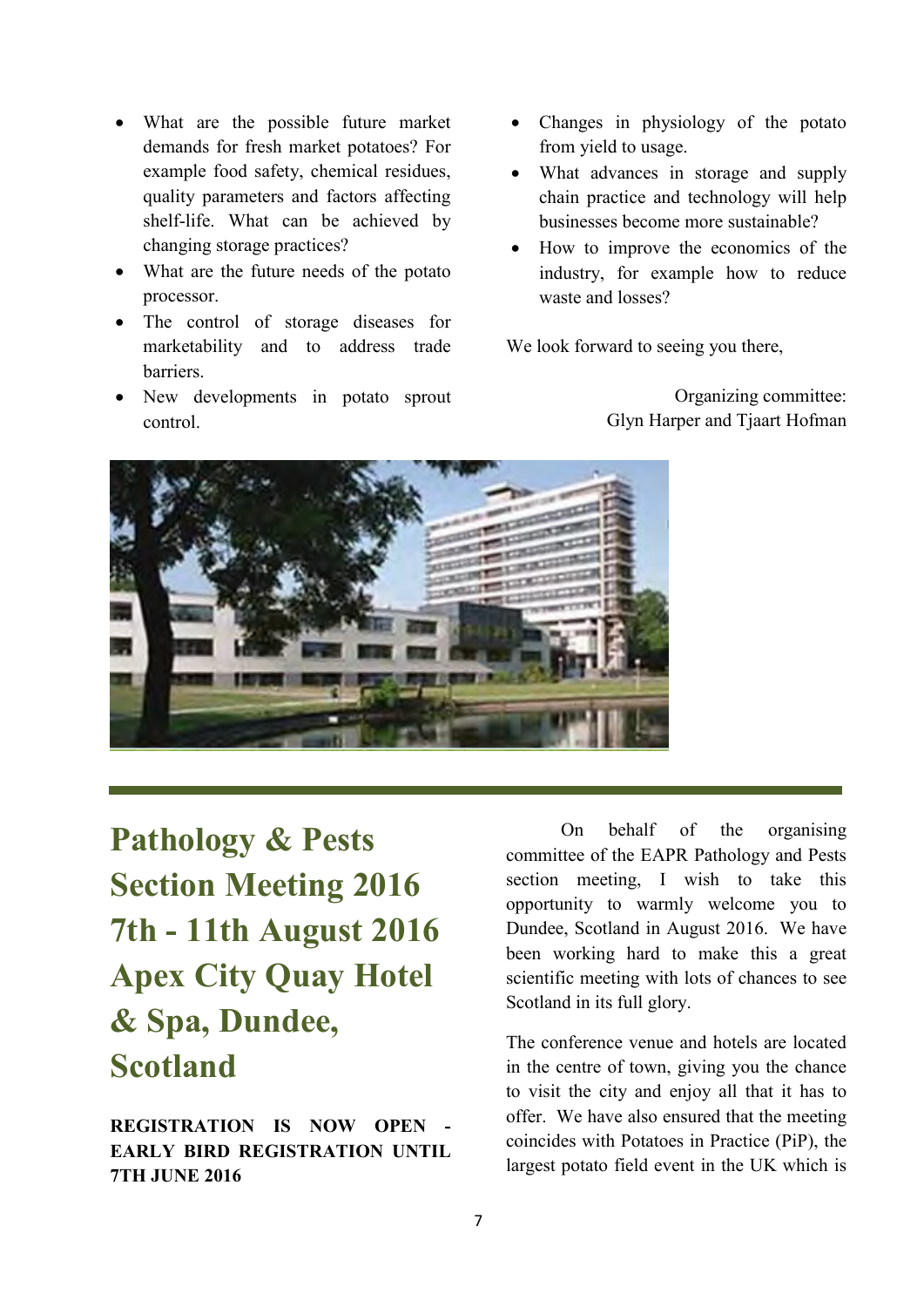- What are the possible future market demands for fresh market potatoes? For example food safety, chemical residues, quality parameters and factors affecting shelf-life. What can be achieved by changing storage practices?
- What are the future needs of the potato processor.
- The control of storage diseases for marketability and to address trade barriers.
- New developments in potato sprout control.
- Changes in physiology of the potato from yield to usage.
- What advances in storage and supply chain practice and technology will help businesses become more sustainable?
- How to improve the economics of the industry, for example how to reduce waste and losses?

We look forward to seeing you there,

Organizing committee: Glyn Harper and Tjaart Hofman



**Pathology & Pests Section Meeting 2016 7th - 11th August 2016 Apex City Quay Hotel & Spa, Dundee, Scotland**

**REGISTRATION IS NOW OPEN - EARLY BIRD REGISTRATION UNTIL 7TH JUNE 2016**

On behalf of the organising committee of the EAPR Pathology and Pests section meeting, I wish to take this opportunity to warmly welcome you to Dundee, Scotland in August 2016. We have been working hard to make this a great scientific meeting with lots of chances to see Scotland in its full glory.

The conference venue and hotels are located in the centre of town, giving you the chance to visit the city and enjoy all that it has to offer. We have also ensured that the meeting coincides with Potatoes in Practice (PiP), the largest potato field event in the UK which is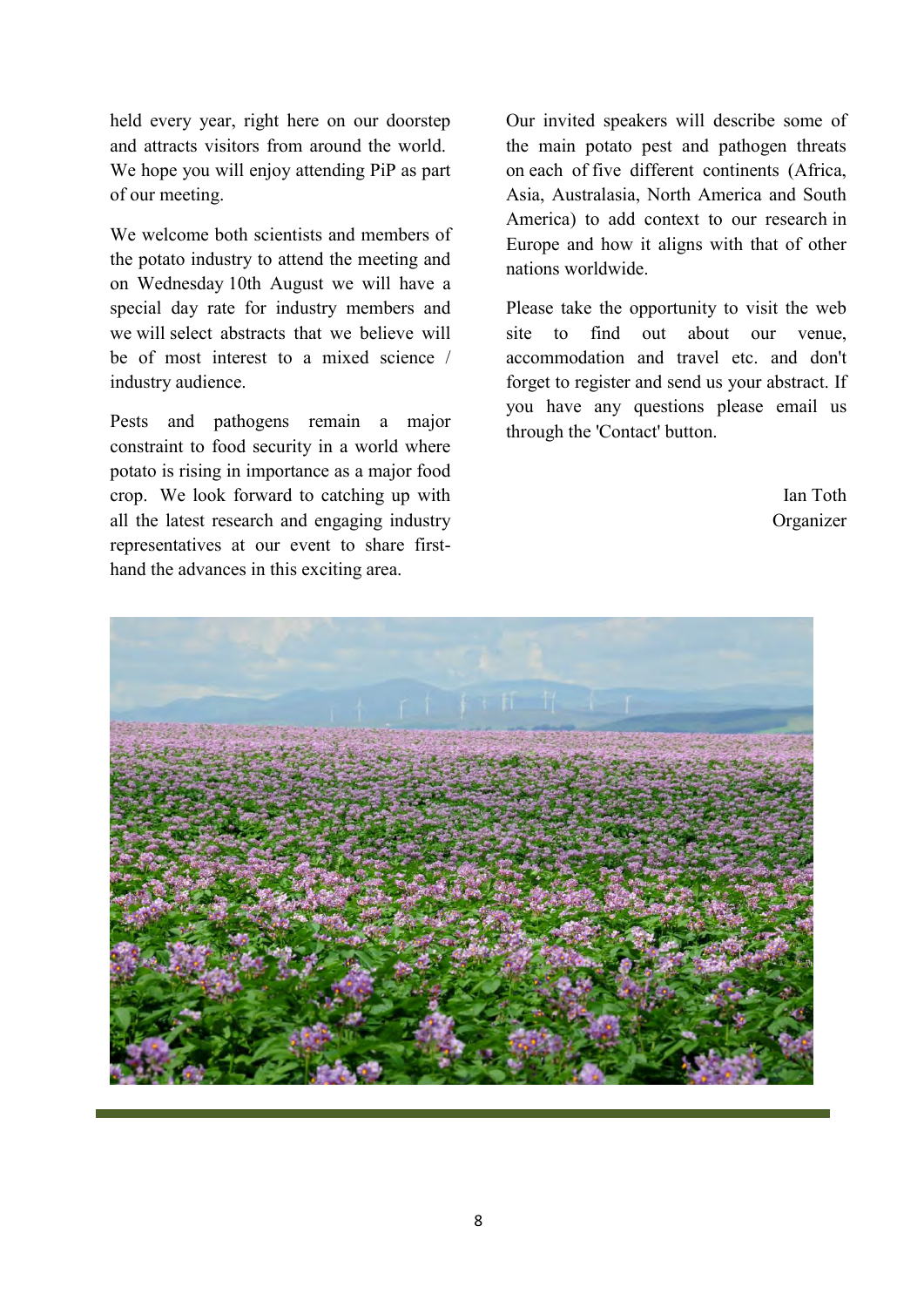held every year, right here on our doorstep and attracts visitors from around the world. We hope you will enjoy attending PiP as part of our meeting.

We welcome both scientists and members of the potato industry to attend the meeting and on Wednesday 10th August we will have a special day rate for industry members and we will select abstracts that we believe will be of most interest to a mixed science / industry audience.

Pests and pathogens remain a major constraint to food security in a world where potato is rising in importance as a major food crop. We look forward to catching up with all the latest research and engaging industry representatives at our event to share firsthand the advances in this exciting area.

Our invited speakers will describe some of the main potato pest and pathogen threats on each of five different continents (Africa, Asia, Australasia, North America and South America) to add context to our research in Europe and how it aligns with that of other nations worldwide.

Please take the opportunity to visit the web site to find out about our venue accommodation and travel etc. and don't forget to register and send us your abstract. If you have any questions please email us through the 'Contact' button.

> Ian Toth Organizer

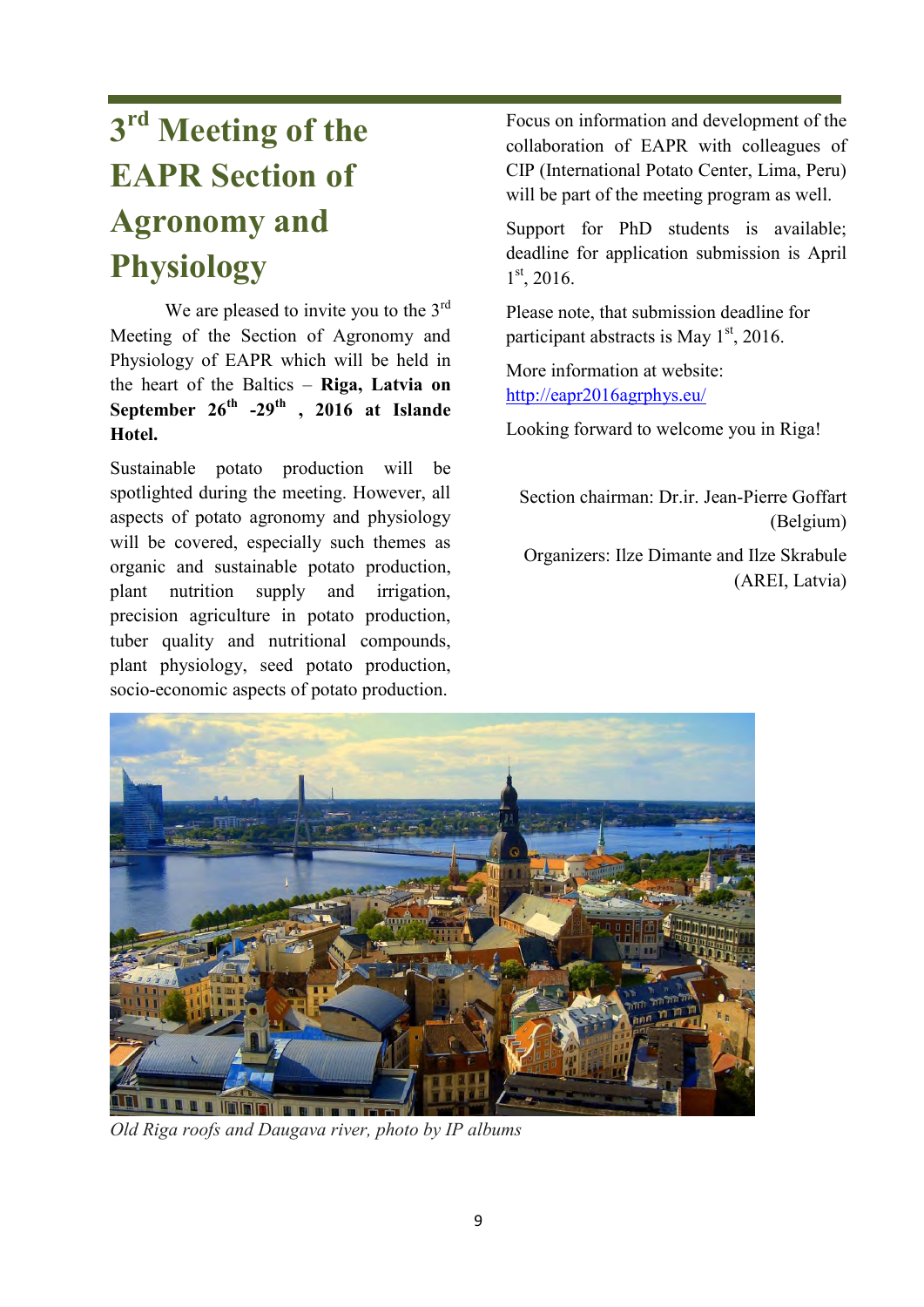# **3 rd Meeting of the EAPR Section of Agronomy and Physiology**

We are pleased to invite you to the 3<sup>rd</sup> Meeting of the Section of Agronomy and Physiology of EAPR which will be held in the heart of the Baltics – **Riga, Latvia on September 26th -29th , 2016 at Islande Hotel.**

Sustainable potato production will be spotlighted during the meeting. However, all aspects of potato agronomy and physiology will be covered, especially such themes as organic and sustainable potato production, plant nutrition supply and irrigation, precision agriculture in potato production, tuber quality and nutritional compounds, plant physiology, seed potato production, socio-economic aspects of potato production.

Focus on information and development of the collaboration of EAPR with colleagues of CIP (International Potato Center, Lima, Peru) will be part of the meeting program as well.

Support for PhD students is available; deadline for application submission is April 1 st, 2016.

Please note, that submission deadline for participant abstracts is May  $1<sup>st</sup>$ , 2016.

More information at website: <http://eapr2016agrphys.eu/>

Looking forward to welcome you in Riga!

Section chairman: Dr. ir. Jean-Pierre Goffart (Belgium)

Organizers: Ilze Dimante and Ilze Skrabule (AREI, Latvia)



*Old Riga roofs and Daugava river, photo by IP albums*